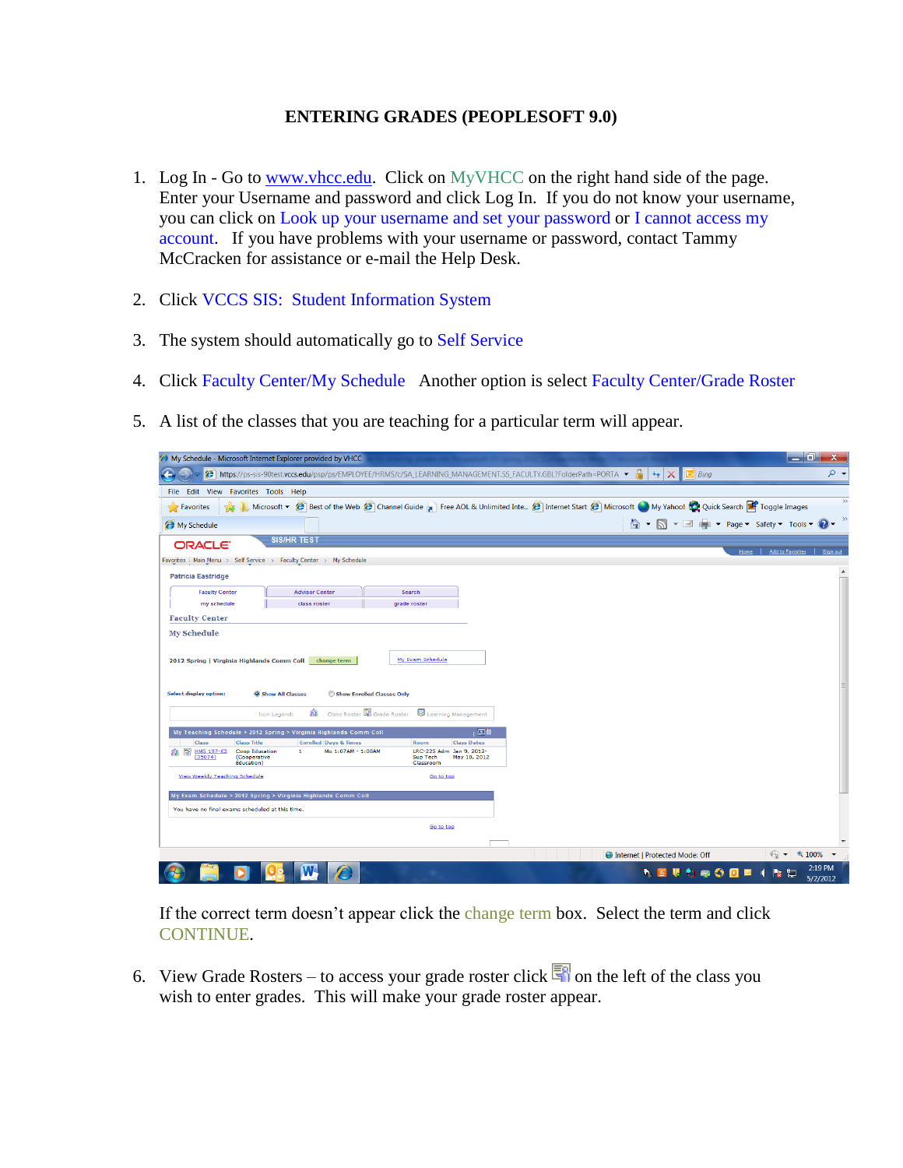## **ENTERING GRADES (PEOPLESOFT 9.0)**

- 1. Log In Go to [www.vhcc.edu.](http://www.vhcc.edu/) Click on MyVHCC on the right hand side of the page. Enter your Username and password and click Log In. If you do not know your username, you can click on Look up your username and set your password or I cannot access my account. If you have problems with your username or password, contact Tammy McCracken for assistance or e-mail the Help Desk.
- 2. Click VCCS SIS: Student Information System
- 3. The system should automatically go to Self Service
- 4. Click Faculty Center/My Schedule Another option is select Faculty Center/Grade Roster
- 5. A list of the classes that you are teaching for a particular term will appear.

| لمريط<br>A My Schedule - Microsoft Internet Explorer provided by VHCC                                                                                                                                                                                                                                       | х                   |
|-------------------------------------------------------------------------------------------------------------------------------------------------------------------------------------------------------------------------------------------------------------------------------------------------------------|---------------------|
| <sup>●</sup> https://ps-sis-90test.vccs.edu/psp/ps/EMPLOYEE/HRMS/c/SA_LEARNING_MANAGEMENT.SS_FACULTY.GBL?FolderPath=PORTA<br><b>D</b> Bing<br>$+$<br>$\times$                                                                                                                                               | ۔ م                 |
| Edit View Favorites Tools Help<br>File                                                                                                                                                                                                                                                                      |                     |
| Microsoft v (C) Best of the Web (C) Channel Guide m Free AOL & Unlimited Inte (C) Internet Start (C) Microsoft My Yahoo! (C) Quick Search (C) Toggle Images<br>$5$ Favorites                                                                                                                                | $\rightarrow$       |
| ☆ ▼ N ▼ II ■ ▼ Page ▼ Safety ▼ Tools ▼ 2<br>My Schedule                                                                                                                                                                                                                                                     | $\rightarrow$       |
| <b>SIS/HR TEST</b><br><b>ORACLE</b><br>Add to Favorites<br>Home                                                                                                                                                                                                                                             | Sign out            |
| Favorites   Main Menu > Self Service > Faculty Center > My Schedule                                                                                                                                                                                                                                         |                     |
| <b>Patricia Eastridge</b>                                                                                                                                                                                                                                                                                   |                     |
| <b>Faculty Center</b><br><b>Advisor Center</b><br>Search                                                                                                                                                                                                                                                    |                     |
| my schedule<br>class roster<br>grade roster                                                                                                                                                                                                                                                                 |                     |
| <b>Faculty Center</b>                                                                                                                                                                                                                                                                                       |                     |
| My Exam Schedule<br>2012 Spring   Virginia Highlands Comm Coll<br>change term<br><b>Select display option:</b><br><b>O</b> Show All Classes<br>Show Enrolled Classes Only<br>Class Roster <b>E</b> Grade Roster<br>Learning Management<br>縮<br>Icon Legend:                                                 |                     |
| 【因知<br>My Teaching Schedule > 2012 Spring > Virginia Highlands Comm Coll                                                                                                                                                                                                                                    |                     |
| <b>Class</b><br><b>Class Title</b><br><b>Enrolled Days &amp; Times</b><br>Room<br><b>Class Dates</b><br>郾<br><b>HMS 197-K3</b><br>Mo 1:07AM - 1:08AM<br><b>Coop Education</b><br>LRC-225 Adm Jan 9, 2012-<br>$\mathbf{1}$<br>(35074)<br>(Cooperative<br>Sup Tech<br>May 10, 2012<br>Education)<br>Classroom |                     |
| View Weekly Teaching Schedule<br>Go to top                                                                                                                                                                                                                                                                  |                     |
| My Exam Schedule > 2012 Spring > Virginia Highlands Comm Coll                                                                                                                                                                                                                                               |                     |
| You have no final exams scheduled at this time.                                                                                                                                                                                                                                                             |                     |
| Go to top                                                                                                                                                                                                                                                                                                   |                     |
| $\frac{1}{2}$ $\sqrt{2}$ $\sqrt{100\%}$ $\sqrt{2}$<br><b>O</b> Internet   Protected Mode: Off                                                                                                                                                                                                               |                     |
| <b>NSUMOOD IND</b>                                                                                                                                                                                                                                                                                          | 2:19 PM<br>5/2/2012 |

If the correct term doesn't appear click the change term box. Select the term and click CONTINUE.

6.View Grade Rosters – to access your grade roster click  $\frac{1}{\sqrt{2}}$  on the left of the class you wish to enter grades. This will make your grade roster appear.